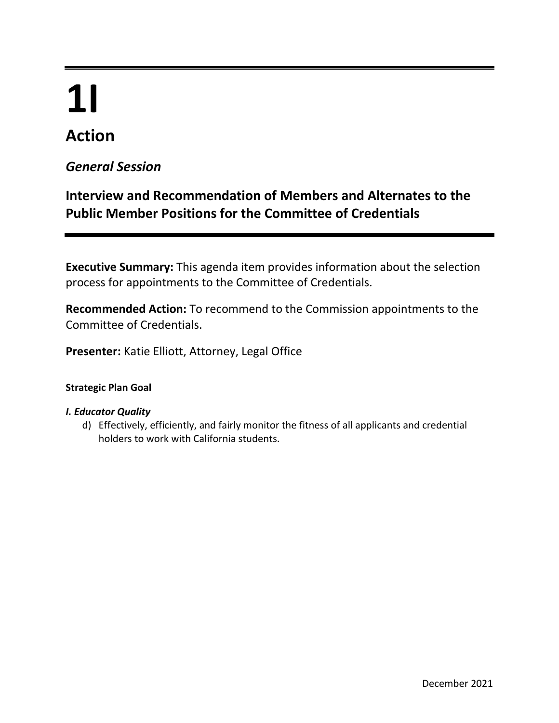# **1I**

# **Action**

### *General Session*

## **Interview and Recommendation of Members and Alternates to the Public Member Positions for the Committee of Credentials**

**Executive Summary:** This agenda item provides information about the selection process for appointments to the Committee of Credentials.

**Recommended Action:** To recommend to the Commission appointments to the Committee of Credentials.

**Presenter:** Katie Elliott, Attorney, Legal Office

#### **Strategic Plan Goal**

#### *I. Educator Quality*

d) Effectively, efficiently, and fairly monitor the fitness of all applicants and credential holders to work with California students.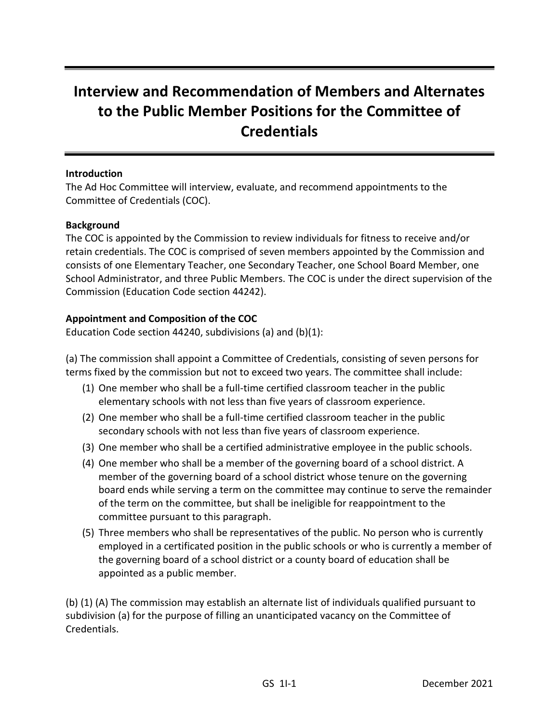## **Interview and Recommendation of Members and Alternates to the Public Member Positions for the Committee of Credentials**

#### **Introduction**

The Ad Hoc Committee will interview, evaluate, and recommend appointments to the Committee of Credentials (COC).

#### **Background**

The COC is appointed by the Commission to review individuals for fitness to receive and/or retain credentials. The COC is comprised of seven members appointed by the Commission and consists of one Elementary Teacher, one Secondary Teacher, one School Board Member, one School Administrator, and three Public Members. The COC is under the direct supervision of the Commission (Education Code section 44242).

#### **Appointment and Composition of the COC**

Education Code section 44240, subdivisions (a) and (b)(1):

(a) The commission shall appoint a Committee of Credentials, consisting of seven persons for terms fixed by the commission but not to exceed two years. The committee shall include:

- (1) One member who shall be a full-time certified classroom teacher in the public elementary schools with not less than five years of classroom experience.
- (2) One member who shall be a full-time certified classroom teacher in the public secondary schools with not less than five years of classroom experience.
- (3) One member who shall be a certified administrative employee in the public schools.
- (4) One member who shall be a member of the governing board of a school district. A member of the governing board of a school district whose tenure on the governing board ends while serving a term on the committee may continue to serve the remainder of the term on the committee, but shall be ineligible for reappointment to the committee pursuant to this paragraph.
- (5) Three members who shall be representatives of the public. No person who is currently employed in a certificated position in the public schools or who is currently a member of the governing board of a school district or a county board of education shall be appointed as a public member.

(b) (1) (A) The commission may establish an alternate list of individuals qualified pursuant to subdivision (a) for the purpose of filling an unanticipated vacancy on the Committee of Credentials.